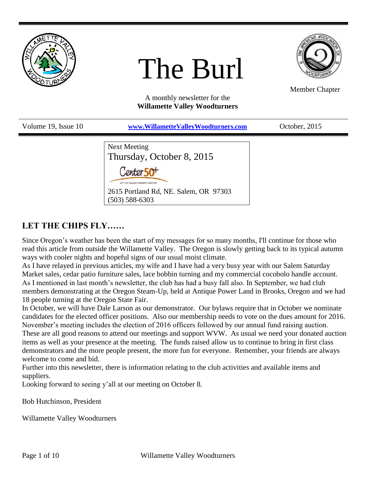

# The Burl



Member Chapter

A monthly newsletter for the **Willamette Valley Woodturners**

| Volume 19, Issue 10 | www.WillametteValleyWoodturners.com                                                                                                                                      | October, 2015 |
|---------------------|--------------------------------------------------------------------------------------------------------------------------------------------------------------------------|---------------|
|                     | <b>Next Meeting</b><br>Thursday, October 8, 2015<br>Center 50 <sup>+</sup><br>CITY OF SALEM SENIOR CENTER<br>2615 Portland Rd, NE. Salem, OR 97303<br>$(503) 588 - 6303$ |               |

# **LET THE CHIPS FLY……**

Since Oregon's weather has been the start of my messages for so many months, I'll continue for those who read this article from outside the Willamette Valley. The Oregon is slowly getting back to its typical autumn ways with cooler nights and hopeful signs of our usual moist climate.

As I have relayed in previous articles, my wife and I have had a very busy year with our Salem Saturday Market sales, cedar patio furniture sales, lace bobbin turning and my commercial cocobolo handle account. As I mentioned in last month's newsletter, the club has had a busy fall also. In September, we had club members demonstrating at the Oregon Steam-Up, held at Antique Power Land in Brooks, Oregon and we had 18 people turning at the Oregon State Fair.

In October, we will have Dale Larson as our demonstrator. Our bylaws require that in October we nominate candidates for the elected officer positions. Also our membership needs to vote on the dues amount for 2016. November's meeting includes the election of 2016 officers followed by our annual fund raising auction. These are all good reasons to attend our meetings and support WVW. As usual we need your donated auction items as well as your presence at the meeting. The funds raised allow us to continue to bring in first class demonstrators and the more people present, the more fun for everyone. Remember, your friends are always welcome to come and bid.

Further into this newsletter, there is information relating to the club activities and available items and suppliers.

Looking forward to seeing y'all at our meeting on October 8.

Bob Hutchinson, President

Willamette Valley Woodturners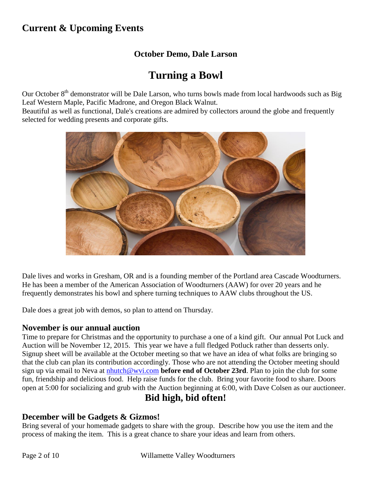# **Current & Upcoming Events**

## **October Demo, Dale Larson**

# **Turning a Bowl**

Our October 8<sup>th</sup> demonstrator will be Dale Larson, who turns bowls made from local hardwoods such as Big Leaf Western Maple, Pacific Madrone, and Oregon Black Walnut.

Beautiful as well as functional, Dale's creations are admired by collectors around the globe and frequently selected for wedding presents and corporate gifts.



Dale lives and works in Gresham, OR and is a founding member of the Portland area Cascade Woodturners. He has been a member of the American Association of Woodturners (AAW) for over 20 years and he frequently demonstrates his bowl and sphere turning techniques to AAW clubs throughout the US.

Dale does a great job with demos, so plan to attend on Thursday.

### **November is our annual auction**

Time to prepare for Christmas and the opportunity to purchase a one of a kind gift. Our annual Pot Luck and Auction will be November 12, 2015. This year we have a full fledged Potluck rather than desserts only. Signup sheet will be available at the October meeting so that we have an idea of what folks are bringing so that the club can plan its contribution accordingly. Those who are not attending the October meeting should sign up via email to Neva at [nhutch@wvi.com](mailto:nhutch@wvi.com) **before end of October 23rd**. Plan to join the club for some fun, friendship and delicious food. Help raise funds for the club. Bring your favorite food to share. Doors open at 5:00 for socializing and grub with the Auction beginning at 6:00, with Dave Colsen as our auctioneer.

## **Bid high, bid often!**

### **December will be Gadgets & Gizmos!**

Bring several of your homemade gadgets to share with the group. Describe how you use the item and the process of making the item. This is a great chance to share your ideas and learn from others.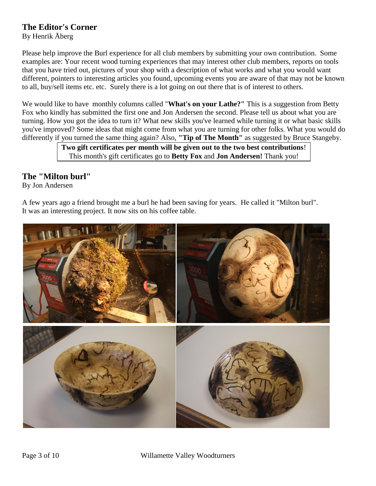### **The Editor's Corner**

By Henrik Åberg

Please help improve the Burl experience for all club members by submitting your own contribution. Some examples are: Your recent wood turning experiences that may interest other club members, reports on tools that you have tried out, pictures of your shop with a description of what works and what you would want different, pointers to interesting articles you found, upcoming events you are aware of that may not be known to all, buy/sell items etc. etc. Surely there is a lot going on out there that is of interest to others.

We would like to have monthly columns called "**What's on your Lathe?"** This is a suggestion from Betty Fox who kindly has submitted the first one and Jon Andersen the second. Please tell us about what you are turning. How you got the idea to turn it? What new skills you've learned while turning it or what basic skills you've improved? Some ideas that might come from what you are turning for other folks. What you would do differently if you turned the same thing again? Also, **"Tip of The Month"** as suggested by Bruce Stangeby.

**Two gift certificates per month will be given out to the two best contributions**! This month's gift certificates go to **Betty Fox** and **Jon Andersen!** Thank you!

### **The "Milton burl"**

By Jon Andersen

A few years ago a friend brought me a burl he had been saving for years. He called it "Milton burl". It was an interesting project. It now sits on his coffee table.

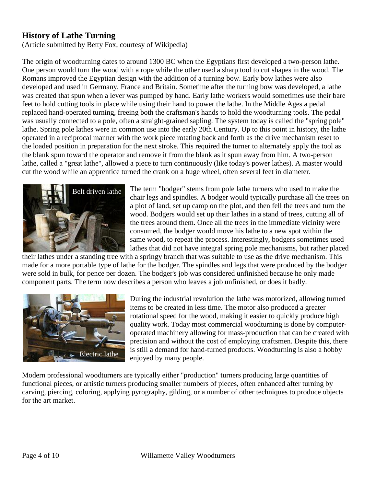### **History of Lathe Turning**

(Article submitted by Betty Fox, courtesy of Wikipedia)

The origin of woodturning dates to around 1300 BC when the Egyptians first developed a two-person lathe. One person would turn the wood with a rope while the other used a sharp tool to cut shapes in the wood. The Romans improved the Egyptian design with the addition of a turning bow. Early bow lathes were also developed and used in Germany, France and Britain. Sometime after the turning bow was developed, a lathe was created that spun when a lever was pumped by hand. Early lathe workers would sometimes use their bare feet to hold cutting tools in place while using their hand to power the lathe. In the Middle Ages a pedal replaced hand-operated turning, freeing both the craftsman's hands to hold the woodturning tools. The pedal was usually connected to a pole, often a straight-grained sapling. The system today is called the "spring pole" lathe. Spring pole lathes were in common use into the early 20th Century. Up to this point in history, the lathe operated in a reciprocal manner with the work piece rotating back and forth as the drive mechanism reset to the loaded position in preparation for the next stroke. This required the turner to alternately apply the tool as the blank spun toward the operator and remove it from the blank as it spun away from him. A two-person lathe, called a "great lathe", allowed a piece to turn continuously (like today's power lathes). A master would cut the wood while an apprentice turned the crank on a huge wheel, often several feet in diameter.



The term "bodger" stems from pole lathe turners who used to make the chair legs and spindles. A bodger would typically purchase all the trees on a plot of land, set up camp on the plot, and then fell the trees and turn the wood. Bodgers would set up their lathes in a stand of trees, cutting all of the trees around them. Once all the trees in the immediate vicinity were consumed, the bodger would move his lathe to a new spot within the same wood, to repeat the process. Interestingly, bodgers sometimes used lathes that did not have integral spring pole mechanisms, but rather placed

their lathes under a standing tree with a springy branch that was suitable to use as the drive mechanism. This made for a more portable type of lathe for the bodger. The spindles and legs that were produced by the bodger were sold in bulk, for pence per dozen. The bodger's job was considered unfinished because he only made component parts. The term now describes a person who leaves a job unfinished, or does it badly.



During the industrial revolution the lathe was motorized, allowing turned items to be created in less time. The motor also produced a greater rotational speed for the wood, making it easier to quickly produce high quality work. Today most commercial woodturning is done by computeroperated machinery allowing for mass-production that can be created with precision and without the cost of employing craftsmen. Despite this, there is still a demand for hand-turned products. Woodturning is also a hobby enjoyed by many people.

Modern professional woodturners are typically either "production" turners producing large quantities of functional pieces, or artistic turners producing smaller numbers of pieces, often enhanced after turning by carving, piercing, coloring, applying pyrography, gilding, or a number of other techniques to produce objects for the art market.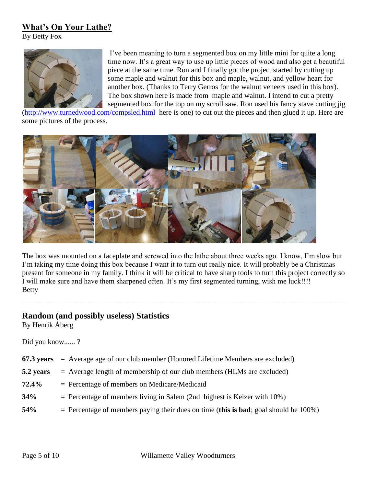### **What's On Your Lathe?**

By Betty Fox



I've been meaning to turn a segmented box on my little mini for quite a long time now. It's a great way to use up little pieces of wood and also get a beautiful piece at the same time. Ron and I finally got the project started by cutting up some maple and walnut for this box and maple, walnut, and yellow heart for another box. (Thanks to Terry Gerros for the walnut veneers used in this box). The box shown here is made from maple and walnut. I intend to cut a pretty segmented box for the top on my scroll saw. Ron used his fancy stave cutting jig

[\(http://www.turnedwood.com/compsled.html](http://www.turnedwood.com/compsled.html) here is one) to cut out the pieces and then glued it up. Here are some pictures of the process.



The box was mounted on a faceplate and screwed into the lathe about three weeks ago. I know, I'm slow but I'm taking my time doing this box because I want it to turn out really nice. It will probably be a Christmas present for someone in my family. I think it will be critical to have sharp tools to turn this project correctly so I will make sure and have them sharpened often. It's my first segmented turning, wish me luck!!!! Betty

\_\_\_\_\_\_\_\_\_\_\_\_\_\_\_\_\_\_\_\_\_\_\_\_\_\_\_\_\_\_\_\_\_\_\_\_\_\_\_\_\_\_\_\_\_\_\_\_\_\_\_\_\_\_\_\_\_\_\_\_\_\_\_\_\_\_\_\_\_\_\_\_\_\_\_\_\_\_\_\_\_\_\_\_\_\_\_\_

# **Random (and possibly useless) Statistics**

By Henrik Åberg

Did you know...... ?

|            | 67.3 years $=$ Average age of our club member (Honored Lifetime Members are excluded)  |
|------------|----------------------------------------------------------------------------------------|
| 5.2 years  | $=$ Average length of membership of our club members (HLMs are excluded)               |
| 72.4%      | $=$ Percentage of members on Medicare/Medicaid                                         |
| 34%        | $=$ Percentage of members living in Salem (2nd highest is Keizer with 10%)             |
| <b>54%</b> | $=$ Percentage of members paying their dues on time (this is bad; goal should be 100%) |
|            |                                                                                        |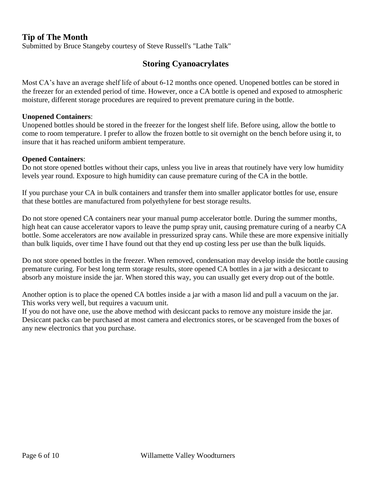### **Tip of The Month**

Submitted by Bruce Stangeby courtesy of Steve Russell's "Lathe Talk"

### **Storing Cyanoacrylates**

Most CA's have an average shelf life of about 6-12 months once opened. Unopened bottles can be stored in the freezer for an extended period of time. However, once a CA bottle is opened and exposed to atmospheric moisture, different storage procedures are required to prevent premature curing in the bottle.

#### **Unopened Containers**:

Unopened bottles should be stored in the freezer for the longest shelf life. Before using, allow the bottle to come to room temperature. I prefer to allow the frozen bottle to sit overnight on the bench before using it, to insure that it has reached uniform ambient temperature.

#### **Opened Containers**:

Do not store opened bottles without their caps, unless you live in areas that routinely have very low humidity levels year round. Exposure to high humidity can cause premature curing of the CA in the bottle.

If you purchase your CA in bulk containers and transfer them into smaller applicator bottles for use, ensure that these bottles are manufactured from polyethylene for best storage results.

Do not store opened CA containers near your manual pump accelerator bottle. During the summer months, high heat can cause accelerator vapors to leave the pump spray unit, causing premature curing of a nearby CA bottle. Some accelerators are now available in pressurized spray cans. While these are more expensive initially than bulk liquids, over time I have found out that they end up costing less per use than the bulk liquids.

Do not store opened bottles in the freezer. When removed, condensation may develop inside the bottle causing premature curing. For best long term storage results, store opened CA bottles in a jar with a desiccant to absorb any moisture inside the jar. When stored this way, you can usually get every drop out of the bottle.

Another option is to place the opened CA bottles inside a jar with a mason lid and pull a vacuum on the jar. This works very well, but requires a vacuum unit.

If you do not have one, use the above method with desiccant packs to remove any moisture inside the jar. Desiccant packs can be purchased at most camera and electronics stores, or be scavenged from the boxes of any new electronics that you purchase.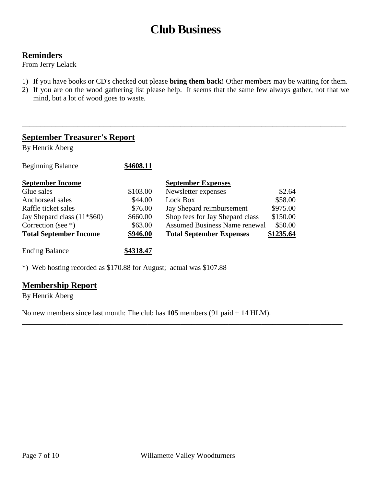# **Club Business**

### **Reminders**

From Jerry Lelack

- 1) If you have books or CD's checked out please **bring them back!** Other members may be waiting for them.
- 2) If you are on the wood gathering list please help. It seems that the same few always gather, not that we mind, but a lot of wood goes to waste.

\_\_\_\_\_\_\_\_\_\_\_\_\_\_\_\_\_\_\_\_\_\_\_\_\_\_\_\_\_\_\_\_\_\_\_\_\_\_\_\_\_\_\_\_\_\_\_\_\_\_\_\_\_\_\_\_\_\_\_\_\_\_\_\_\_\_\_\_\_\_\_\_\_\_\_\_\_\_\_\_\_\_\_\_\_\_\_\_

### **September Treasurer's Report**

By Henrik Åberg

| <b>Beginning Balance</b>       | \$4608.11 |                                      |           |
|--------------------------------|-----------|--------------------------------------|-----------|
| <b>September Income</b>        |           | <b>September Expenses</b>            |           |
| Glue sales                     | \$103.00  | Newsletter expenses                  | \$2.64    |
| Anchorseal sales               | \$44.00   | Lock Box                             | \$58.00   |
| Raffle ticket sales            | \$76.00   | Jay Shepard reimbursement            | \$975.00  |
| Jay Shepard class $(11*$ \$60) | \$660.00  | Shop fees for Jay Shepard class      | \$150.00  |
| Correction (see $*$ )          | \$63.00   | <b>Assumed Business Name renewal</b> | \$50.00   |
| <b>Total September Income</b>  | \$946.00  | <b>Total September Expenses</b>      | \$1235.64 |
| <b>Ending Balance</b>          | \$4318.47 |                                      |           |

\*) Web hosting recorded as \$170.88 for August; actual was \$107.88

### **Membership Report**

By Henrik Åberg

No new members since last month: The club has **105** members (91 paid + 14 HLM).

\_\_\_\_\_\_\_\_\_\_\_\_\_\_\_\_\_\_\_\_\_\_\_\_\_\_\_\_\_\_\_\_\_\_\_\_\_\_\_\_\_\_\_\_\_\_\_\_\_\_\_\_\_\_\_\_\_\_\_\_\_\_\_\_\_\_\_\_\_\_\_\_\_\_\_\_\_\_\_\_\_\_\_\_\_\_\_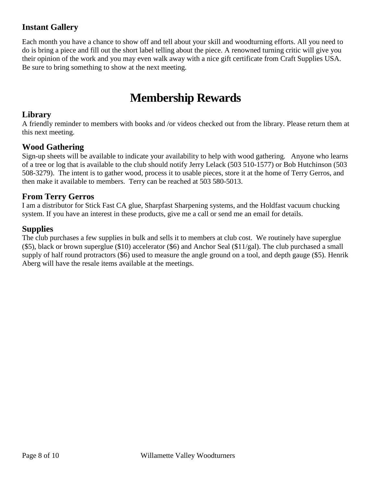## **Instant Gallery**

Each month you have a chance to show off and tell about your skill and woodturning efforts. All you need to do is bring a piece and fill out the short label telling about the piece. A renowned turning critic will give you their opinion of the work and you may even walk away with a nice gift certificate from Craft Supplies USA. Be sure to bring something to show at the next meeting.

# **Membership Rewards**

### **Library**

A friendly reminder to members with books and /or videos checked out from the library. Please return them at this next meeting.

### **Wood Gathering**

Sign-up sheets will be available to indicate your availability to help with wood gathering. Anyone who learns of a tree or log that is available to the club should notify Jerry Lelack (503 510-1577) or Bob Hutchinson (503 508-3279). The intent is to gather wood, process it to usable pieces, store it at the home of Terry Gerros, and then make it available to members. Terry can be reached at 503 580-5013.

### **From Terry Gerros**

I am a distributor for Stick Fast CA glue, Sharpfast Sharpening systems, and the Holdfast vacuum chucking system. If you have an interest in these products, give me a call or send me an email for details.

### **Supplies**

The club purchases a few supplies in bulk and sells it to members at club cost. We routinely have superglue (\$5), black or brown superglue (\$10) accelerator (\$6) and Anchor Seal (\$11/gal). The club purchased a small supply of half round protractors (\$6) used to measure the angle ground on a tool, and depth gauge (\$5). Henrik Aberg will have the resale items available at the meetings.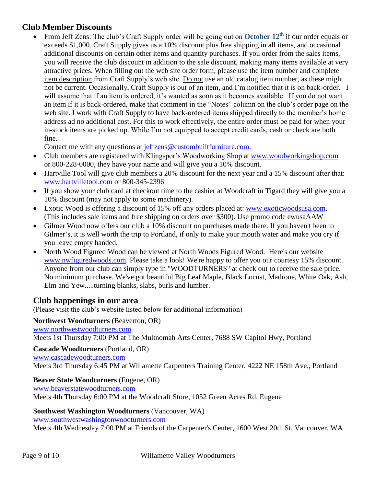### **Club Member Discounts**

 From Jeff Zens: The club's Craft Supply order will be going out on **October 12th** if our order equals or exceeds \$1,000. Craft Supply gives us a 10% discount plus free shipping in all items, and occasional additional discounts on certain other items and quantity purchases. If you order from the sales items, you will receive the club discount in addition to the sale discount, making many items available at very attractive prices. When filling out the web site order form, please use the item number and complete item description from Craft Supply's web site. Do not use an old catalog item number, as these might not be current. Occasionally, Craft Supply is out of an item, and I'm notified that it is on back-order. I will assume that if an item is ordered, it's wanted as soon as it becomes available. If you do not want an item if it is back-ordered, make that comment in the "Notes" column on the club's order page on the web site. I work with Craft Supply to have back-ordered items shipped directly to the member's home address ad no additional cost. For this to work effectively, the entire order must be paid for when your in-stock items are picked up. While I'm not equipped to accept credit cards, cash or check are both fine.

Contact me with any questions at [jeffzens@custombuiltfurniture.com.](mailto:jeffzens@custombuiltfurniture.com.)

- Club members are registered with Klingspor's Woodworking Shop at www.woodworkingshop.com or 800-228-0000, they have your name and will give you a 10% discount.
- Hartville Tool will give club members a 20% discount for the next year and a 15% discount after that: [www.hartvilletool.com](http://www.hartvilletool.com/) or 800-345-2396
- If you show your club card at checkout time to the cashier at Woodcraft in Tigard they will give you a 10% discount (may not apply to some machinery).
- Exotic Wood is offering a discount of 15% off any orders placed at: [www.exoticwoodsusa.com.](http://www.exoticwoodsusa.com/) (This includes sale items and free shipping on orders over \$300). Use promo code ewusaAAW
- Gilmer Wood now offers our club a 10% discount on purchases made there. If you haven't been to Gilmer's, it is well worth the trip to Portland, if only to make your mouth water and make you cry if you leave empty handed.
- North Wood Figured Wood can be viewed at North Woods Figured Wood. Here's our website [www.nwfiguredwoods.com.](http://www.nwfiguredwoods.com/) Please take a look! We're happy to offer you our courtesy 15% discount. Anyone from our club can simply type in "WOODTURNERS" at check out to receive the sale price. No minimum purchase. We've got beautiful Big Leaf Maple, Black Locust, Madrone, White Oak, Ash, Elm and Yew.....turning blanks, slabs, burls and lumber.

### **Club happenings in our area**

(Please visit the club's website listed below for additional information)

**Northwest Woodturners** (Beaverton, OR) [www.northwestwoodturners.com](http://www.northwestwoodturners.com/) Meets 1st Thursday 7:00 PM at The Multnomah Arts Center, 7688 SW Capitol Hwy, Portland

**Cascade Woodturners** (Portland, OR)

[www.cascadewoodturners.com](http://www.cascadewoodturners.com/)

Meets 3rd Thursday 6:45 PM at Willamette Carpenters Training Center, 4222 NE 158th Ave., Portland

### **Beaver State Woodturners** (Eugene, OR)

[www.beaverstatewoodturners.com](http://www.beaverstatewoodturners.com/)

Meets 4th Thursday 6:00 PM at the Woodcraft Store, 1052 Green Acres Rd, Eugene

### **Southwest Washington Woodturners** (Vancouver, WA)

[www.southwestwashingtonwoodturners.com](http://www.southwestwashingtonwoodturners.com/) Meets 4th Wednesday 7:00 PM at Friends of the Carpenter's Center, 1600 West 20th St, Vancouver, WA